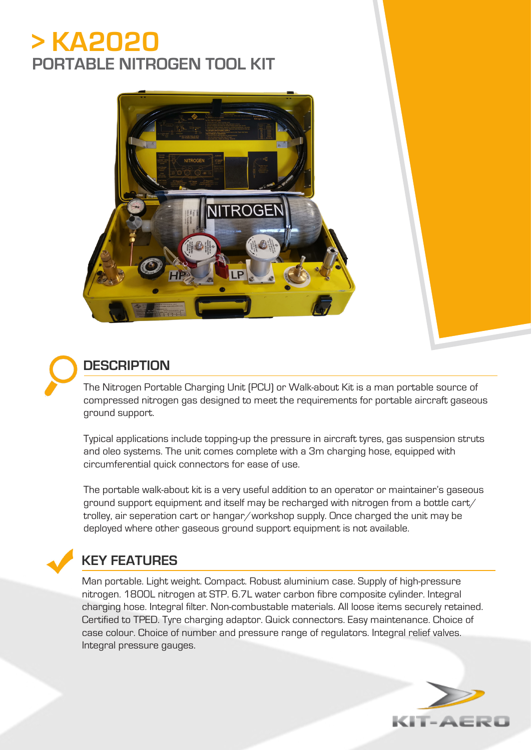# **> KA2020 PORTABLE NITROGEN TOOL KIT**





### **DESCRIPTION**

The Nitrogen Portable Charging Unit (PCU) or Walk-about Kit is a man portable source of compressed nitrogen gas designed to meet the requirements for portable aircraft gaseous ground support.

Typical applications include topping-up the pressure in aircraft tyres, gas suspension struts and oleo systems. The unit comes complete with a 3m charging hose, equipped with circumferential quick connectors for ease of use.

The portable walk-about kit is a very useful addition to an operator or maintainer's gaseous ground support equipment and itself may be recharged with nitrogen from a bottle cart/ trolley, air seperation cart or hangar/workshop supply. Once charged the unit may be deployed where other gaseous ground support equipment is not available.

## **KEY FEATURES**

Man portable. Light weight. Compact. Robust aluminium case. Supply of high-pressure nitrogen. 1800L nitrogen at STP. 6.7L water carbon fibre composite cylinder. Integral charging hose. Integral filter. Non-combustable materials. All loose items securely retained. Certified to TPED. Tyre charging adaptor. Quick connectors. Easy maintenance. Choice of case colour. Choice of number and pressure range of regulators. Integral relief valves. Integral pressure gauges.